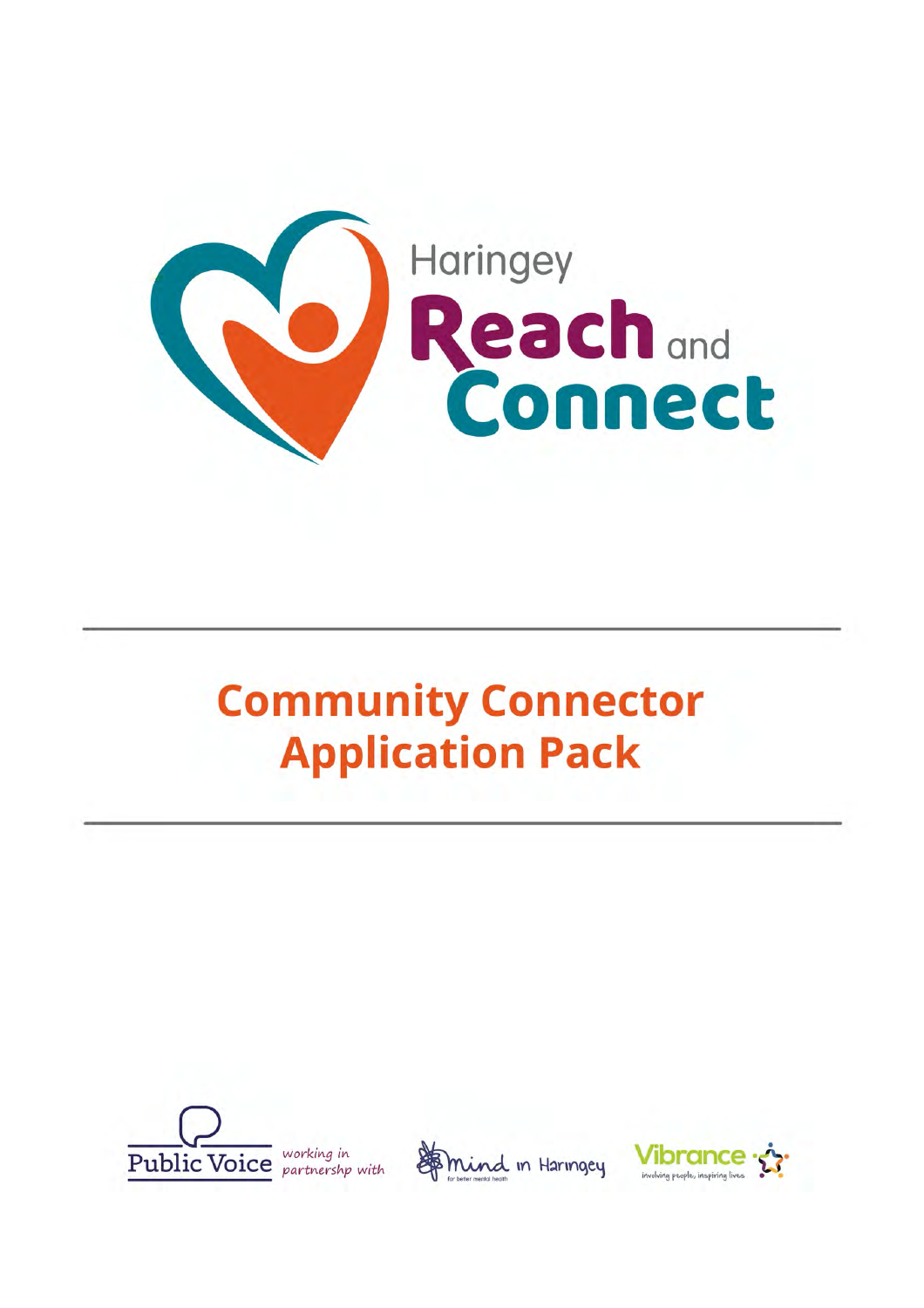

# **Community Connector Application Pack**





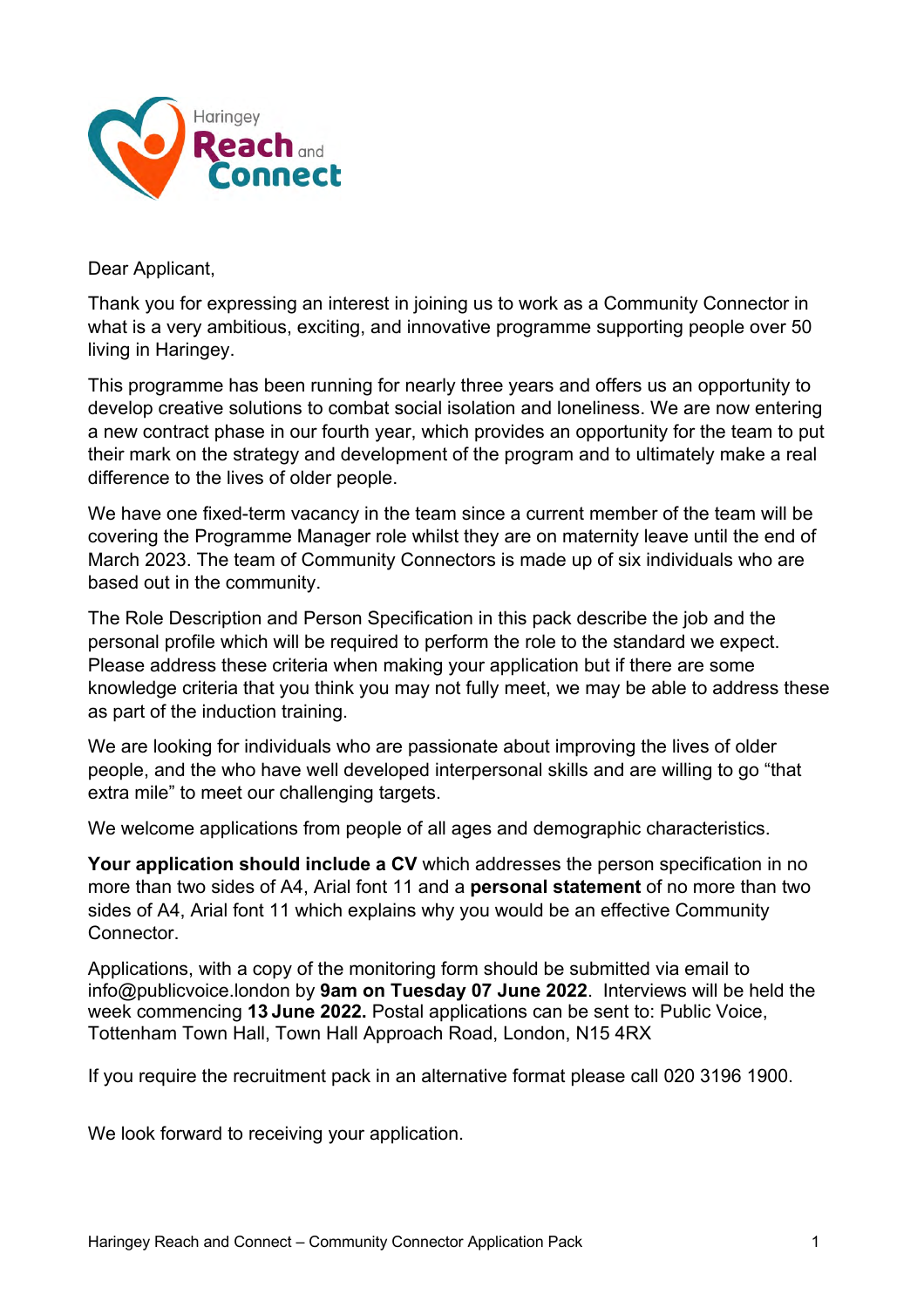

Dear Applicant,

Thank you for expressing an interest in joining us to work as a Community Connector in what is a very ambitious, exciting, and innovative programme supporting people over 50 living in Haringey.

This programme has been running for nearly three years and offers us an opportunity to develop creative solutions to combat social isolation and loneliness. We are now entering a new contract phase in our fourth year, which provides an opportunity for the team to put their mark on the strategy and development of the program and to ultimately make a real difference to the lives of older people.

We have one fixed-term vacancy in the team since a current member of the team will be covering the Programme Manager role whilst they are on maternity leave until the end of March 2023. The team of Community Connectors is made up of six individuals who are based out in the community.

The Role Description and Person Specification in this pack describe the job and the personal profile which will be required to perform the role to the standard we expect. Please address these criteria when making your application but if there are some knowledge criteria that you think you may not fully meet, we may be able to address these as part of the induction training.

We are looking for individuals who are passionate about improving the lives of older people, and the who have well developed interpersonal skills and are willing to go "that extra mile" to meet our challenging targets.

We welcome applications from people of all ages and demographic characteristics.

**Your application should include a CV** which addresses the person specification in no more than two sides of A4, Arial font 11 and a **personal statement** of no more than two sides of A4, Arial font 11 which explains why you would be an effective Community Connector.

Applications, with a copy of the monitoring form should be submitted via email to [info@publicvoice.london](mailto:info@publicvoice.london) by **9am on Tuesday 07 June 2022**. Interviews will be held the week commencing **13 June 2022.** Postal applications can be sent to: Public Voice, Tottenham Town Hall, Town Hall Approach Road, London, N15 4RX

If you require the recruitment pack in an alternative format please call 020 3196 1900.

We look forward to receiving your application.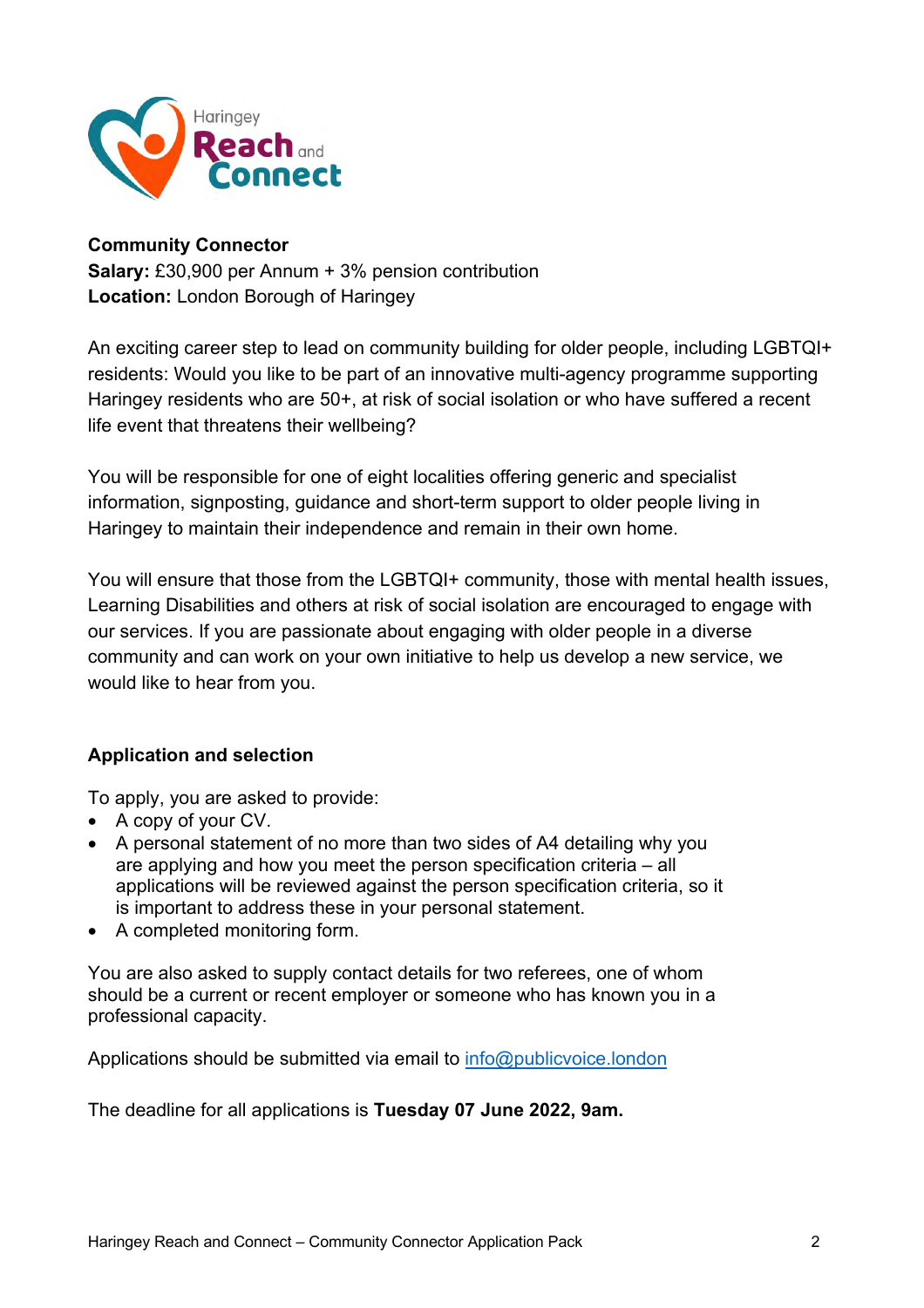

#### **Community Connector**

**Salary:** £30,900 per Annum + 3% pension contribution **Location:** London Borough of Haringey

An exciting career step to lead on community building for older people, including LGBTQI+ residents: Would you like to be part of an innovative multi-agency programme supporting Haringey residents who are 50+, at risk of social isolation or who have suffered a recent life event that threatens their wellbeing?

You will be responsible for one of eight localities offering generic and specialist information, signposting, guidance and short-term support to older people living in Haringey to maintain their independence and remain in their own home.

You will ensure that those from the LGBTQI+ community, those with mental health issues, Learning Disabilities and others at risk of social isolation are encouraged to engage with our services. If you are passionate about engaging with older people in a diverse community and can work on your own initiative to help us develop a new service, we would like to hear from you.

#### **Application and selection**

To apply, you are asked to provide:

- A copy of your CV.
- A personal statement of no more than two sides of A4 detailing why you are applying and how you meet the person specification criteria – all applications will be reviewed against the person specification criteria, so it is important to address these in your personal statement.
- A completed monitoring form.

You are also asked to supply contact details for two referees, one of whom should be a current or recent employer or someone who has known you in a professional capacity.

Applications should be submitted via email to [info@publicvoice.london](mailto:info@publicvoice.london)

The deadline for all applications is **Tuesday 07 June 2022, 9am.**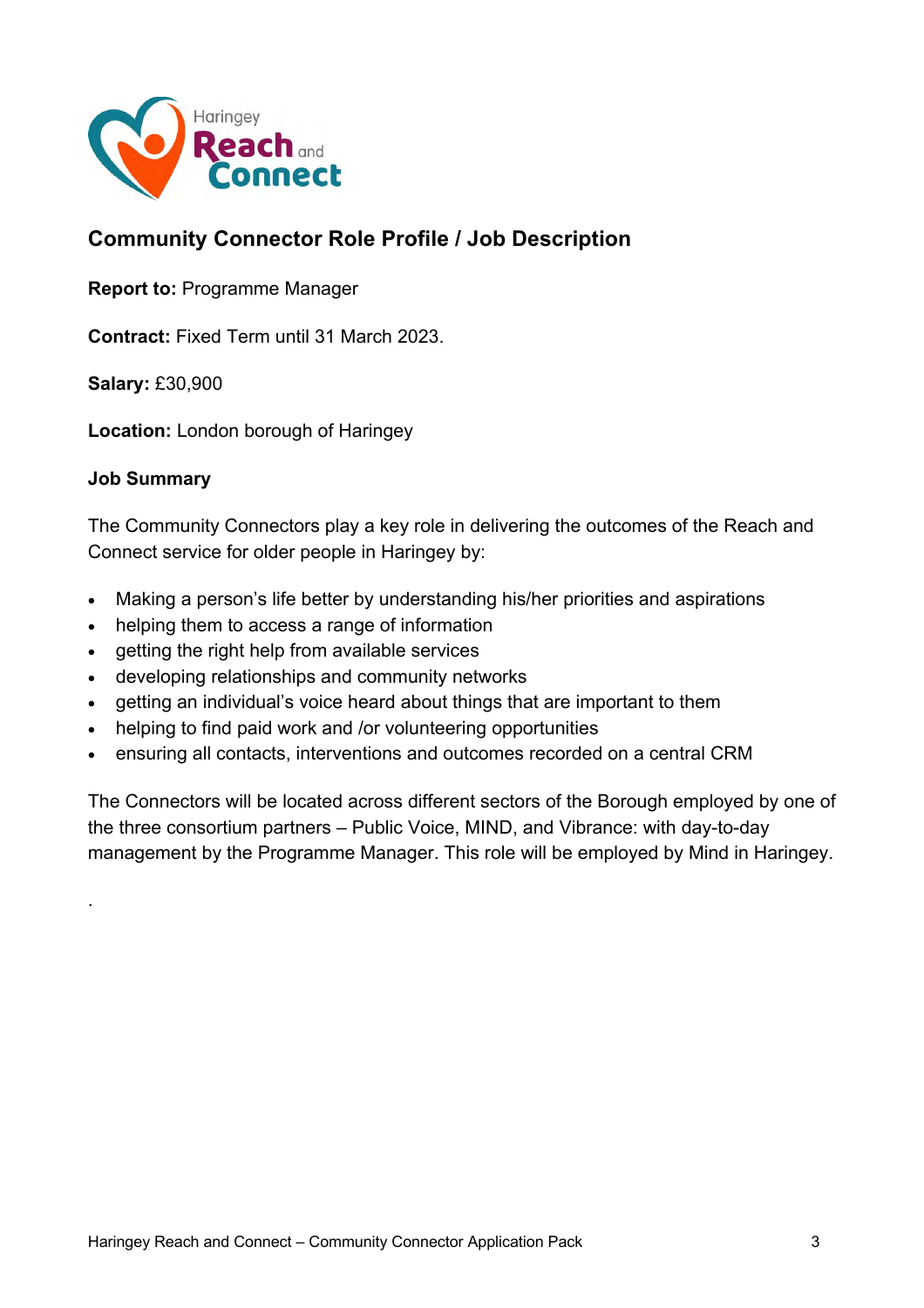

# **Community Connector Role Profile / Job Description**

**Report to:** Programme Manager

**Contract:** Fixed Term until 31 March 2023.

**Salary:** £30,900

**Location:** London borough of Haringey

#### **Job Summary**

.

The Community Connectors play a key role in delivering the outcomes of the Reach and Connect service for older people in Haringey by:

- Making a person's life better by understanding his/her priorities and aspirations
- helping them to access a range of information
- getting the right help from available services
- developing relationships and community networks
- getting an individual's voice heard about things that are important to them
- helping to find paid work and /or volunteering opportunities
- ensuring all contacts, interventions and outcomes recorded on a central CRM

The Connectors will be located across different sectors of the Borough employed by one of the three consortium partners – Public Voice, MIND, and Vibrance: with day-to-day management by the Programme Manager. This role will be employed by Mind in Haringey.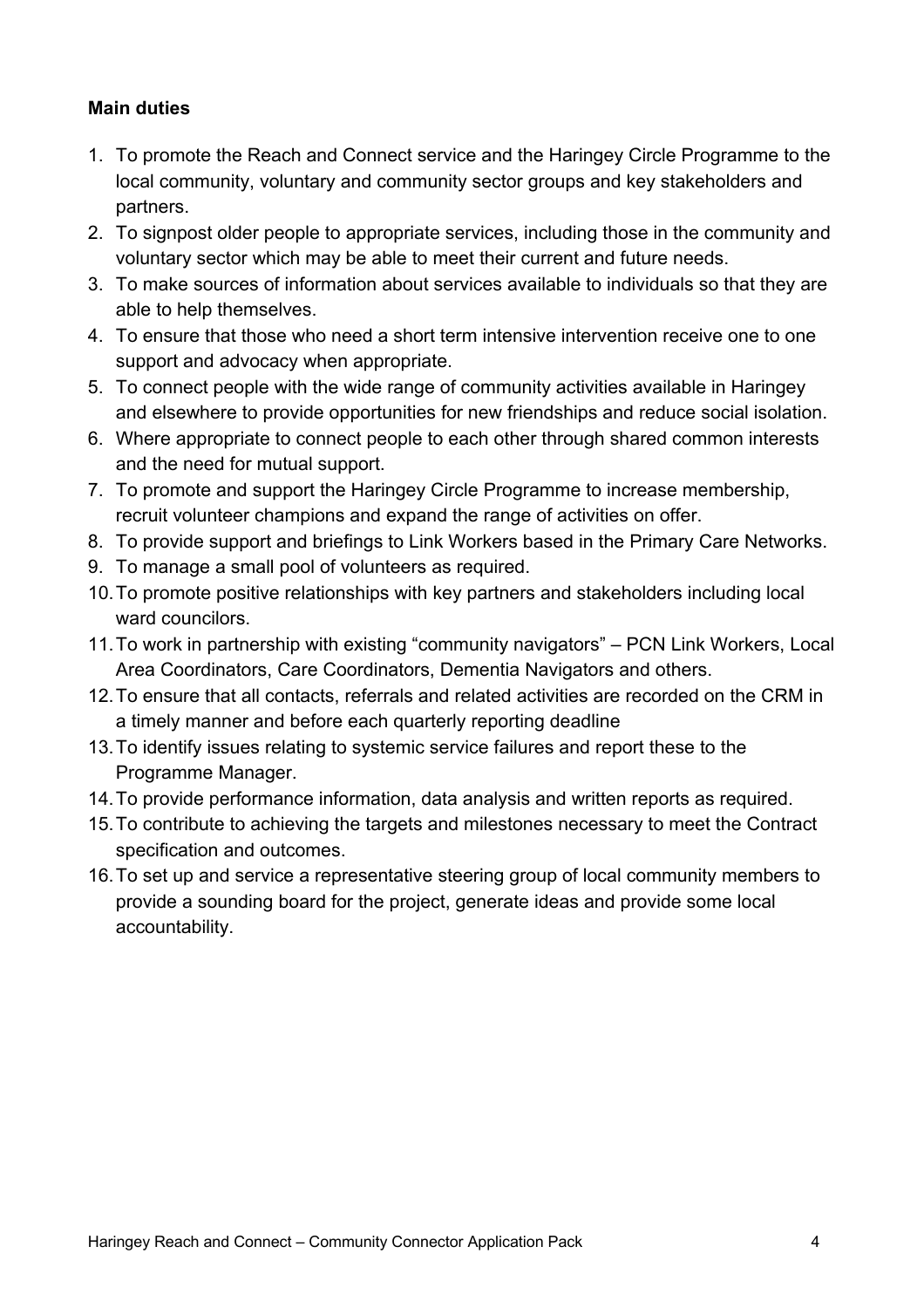#### **Main duties**

- 1. To promote the Reach and Connect service and the Haringey Circle Programme to the local community, voluntary and community sector groups and key stakeholders and partners.
- 2. To signpost older people to appropriate services, including those in the community and voluntary sector which may be able to meet their current and future needs.
- 3. To make sources of information about services available to individuals so that they are able to help themselves.
- 4. To ensure that those who need a short term intensive intervention receive one to one support and advocacy when appropriate.
- 5. To connect people with the wide range of community activities available in Haringey and elsewhere to provide opportunities for new friendships and reduce social isolation.
- 6. Where appropriate to connect people to each other through shared common interests and the need for mutual support.
- 7. To promote and support the Haringey Circle Programme to increase membership, recruit volunteer champions and expand the range of activities on offer.
- 8. To provide support and briefings to Link Workers based in the Primary Care Networks.
- 9. To manage a small pool of volunteers as required.
- 10.To promote positive relationships with key partners and stakeholders including local ward councilors.
- 11.To work in partnership with existing "community navigators" PCN Link Workers, Local Area Coordinators, Care Coordinators, Dementia Navigators and others.
- 12.To ensure that all contacts, referrals and related activities are recorded on the CRM in a timely manner and before each quarterly reporting deadline
- 13.To identify issues relating to systemic service failures and report these to the Programme Manager.
- 14.To provide performance information, data analysis and written reports as required.
- 15.To contribute to achieving the targets and milestones necessary to meet the Contract specification and outcomes.
- 16.To set up and service a representative steering group of local community members to provide a sounding board for the project, generate ideas and provide some local accountability.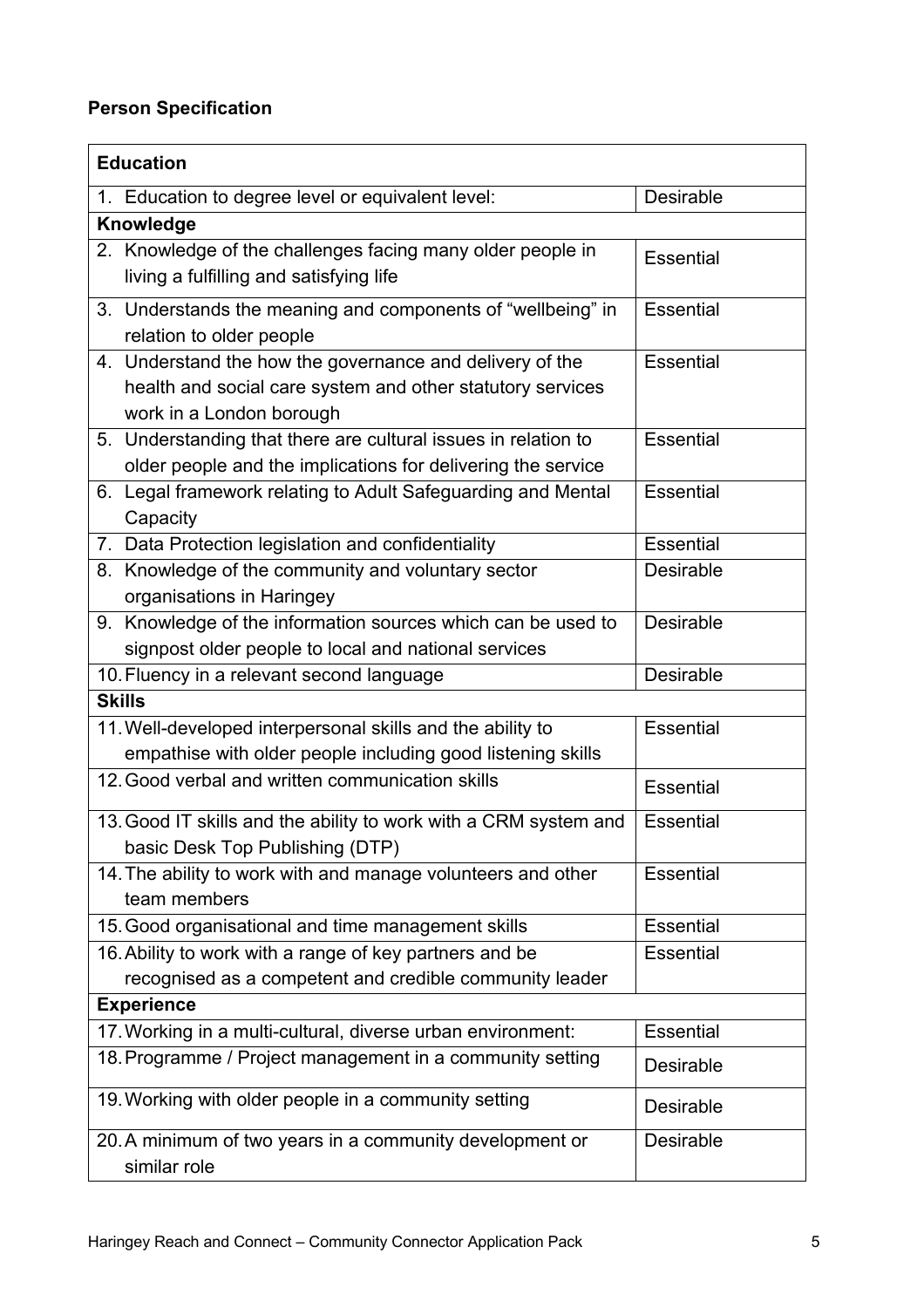# **Person Specification**

| <b>Education</b>                                                                                                                                   |                  |
|----------------------------------------------------------------------------------------------------------------------------------------------------|------------------|
| 1. Education to degree level or equivalent level:                                                                                                  | Desirable        |
| Knowledge                                                                                                                                          |                  |
| 2. Knowledge of the challenges facing many older people in<br>living a fulfilling and satisfying life                                              | <b>Essential</b> |
| 3. Understands the meaning and components of "wellbeing" in<br>relation to older people                                                            | <b>Essential</b> |
| 4. Understand the how the governance and delivery of the<br>health and social care system and other statutory services<br>work in a London borough | Essential        |
| 5. Understanding that there are cultural issues in relation to<br>older people and the implications for delivering the service                     | <b>Essential</b> |
| 6. Legal framework relating to Adult Safeguarding and Mental<br>Capacity                                                                           | <b>Essential</b> |
| 7. Data Protection legislation and confidentiality                                                                                                 | <b>Essential</b> |
| 8. Knowledge of the community and voluntary sector<br>organisations in Haringey                                                                    | Desirable        |
| 9. Knowledge of the information sources which can be used to<br>signpost older people to local and national services                               | <b>Desirable</b> |
| 10. Fluency in a relevant second language                                                                                                          | <b>Desirable</b> |
| <b>Skills</b>                                                                                                                                      |                  |
| 11. Well-developed interpersonal skills and the ability to<br>empathise with older people including good listening skills                          | <b>Essential</b> |
| 12. Good verbal and written communication skills                                                                                                   | <b>Essential</b> |
| 13. Good IT skills and the ability to work with a CRM system and<br>basic Desk Top Publishing (DTP)                                                | <b>Essential</b> |
| 14. The ability to work with and manage volunteers and other<br>team members                                                                       | Essential        |
| 15. Good organisational and time management skills                                                                                                 | <b>Essential</b> |
| 16. Ability to work with a range of key partners and be<br>recognised as a competent and credible community leader                                 | <b>Essential</b> |
| <b>Experience</b>                                                                                                                                  |                  |
| 17. Working in a multi-cultural, diverse urban environment:                                                                                        | <b>Essential</b> |
| 18. Programme / Project management in a community setting                                                                                          | Desirable        |
| 19. Working with older people in a community setting                                                                                               | Desirable        |
| 20. A minimum of two years in a community development or<br>similar role                                                                           | <b>Desirable</b> |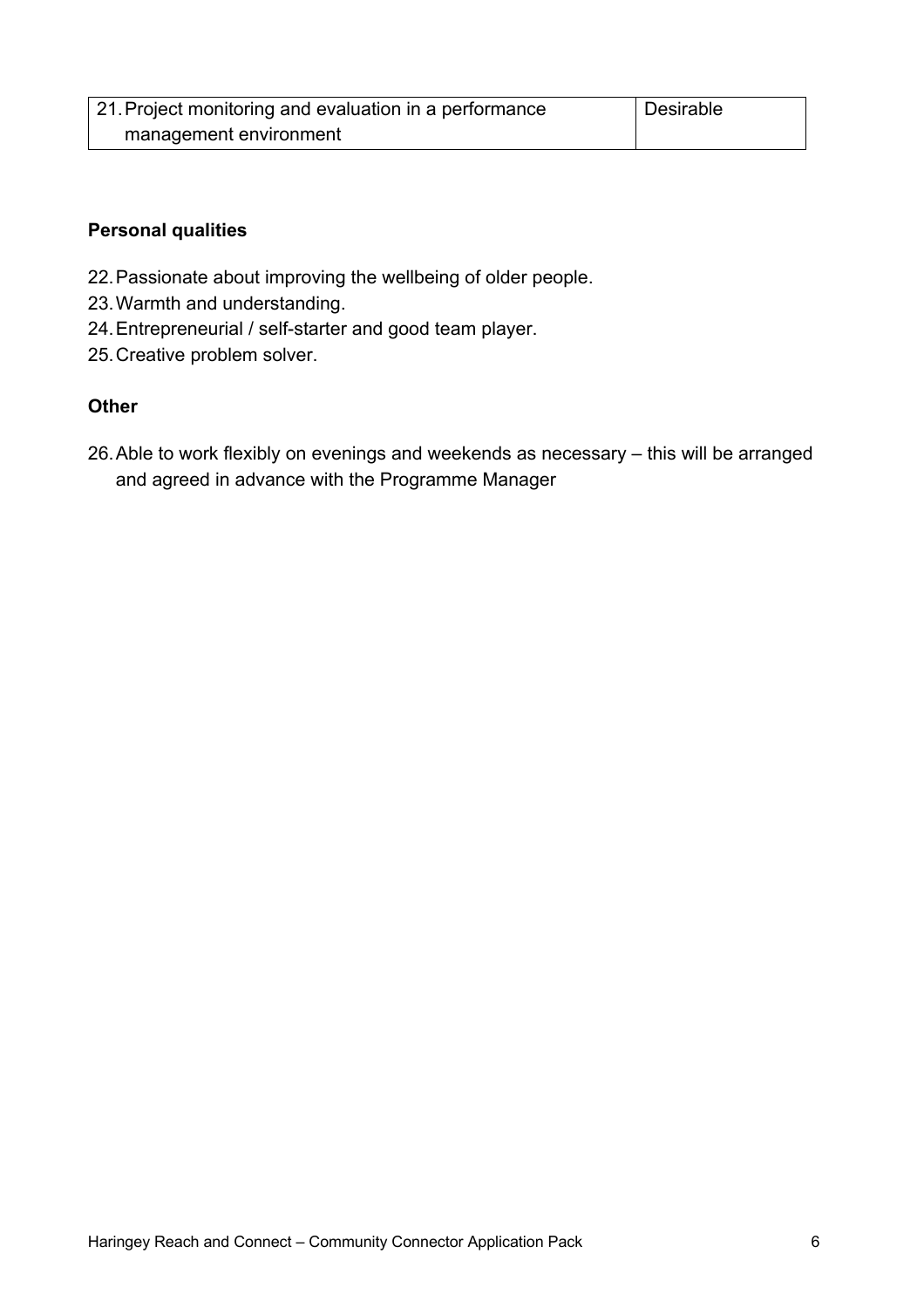| 21. Project monitoring and evaluation in a performance | Desirable |
|--------------------------------------------------------|-----------|
| management environment                                 |           |

#### **Personal qualities**

- 22.Passionate about improving the wellbeing of older people.
- 23.Warmth and understanding.
- 24.Entrepreneurial / self-starter and good team player.
- 25.Creative problem solver.

#### **Other**

26.Able to work flexibly on evenings and weekends as necessary – this will be arranged and agreed in advance with the Programme Manager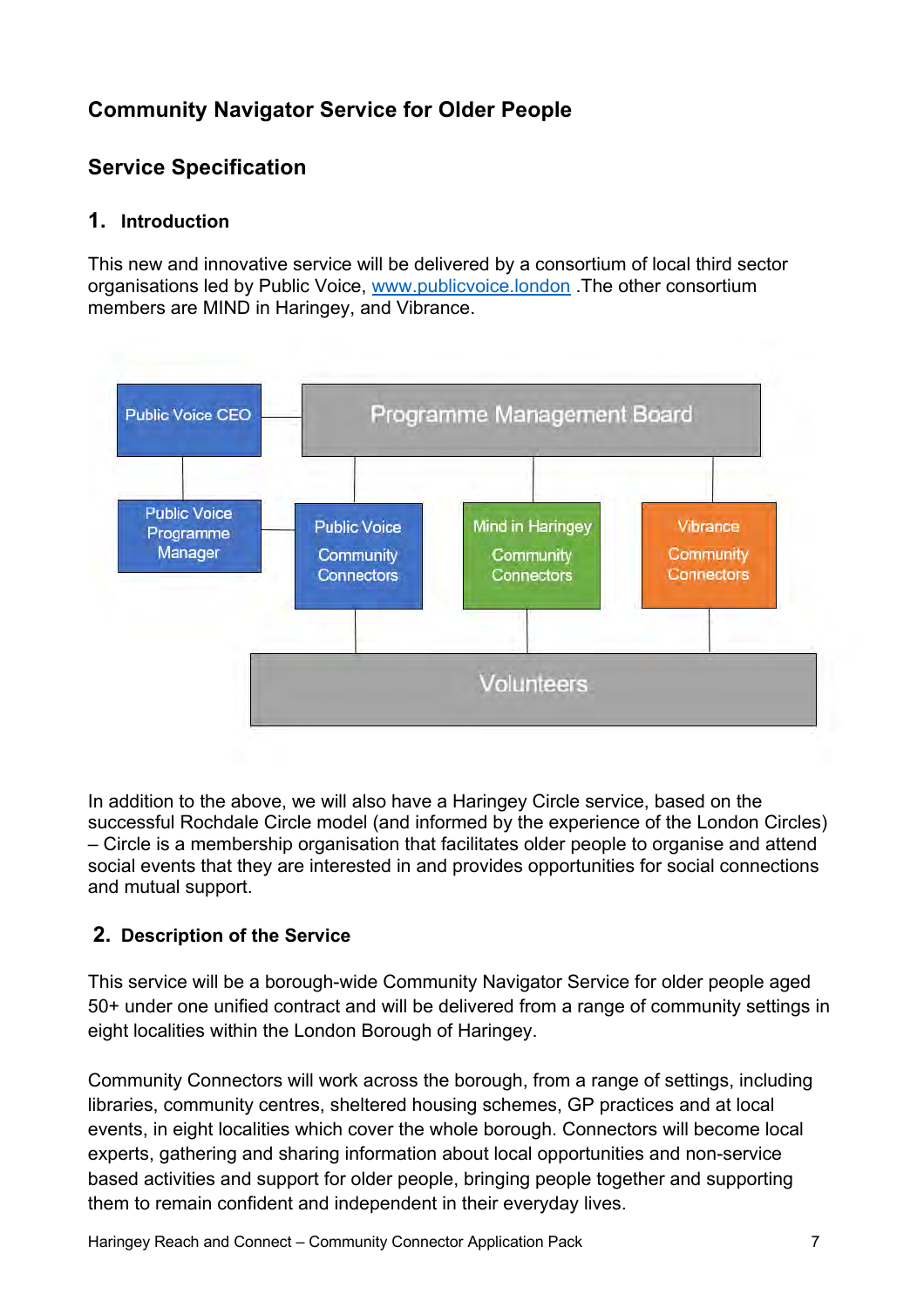# **Community Navigator Service for Older People**

# **Service Specification**

#### **1. Introduction**

This new and innovative service will be delivered by a consortium of local third sector organisations led by Public Voice, [www.publicvoice.london](http://www.publicvoice.london) .The other consortium members are MIND in Haringey, and Vibrance.



In addition to the above, we will also have a Haringey Circle service, based on the successful Rochdale Circle model (and informed by the experience of the London Circles) – Circle is a membership organisation that facilitates older people to organise and attend social events that they are interested in and provides opportunities for social connections and mutual support.

# **2. Description of the Service**

This service will be a borough-wide Community Navigator Service for older people aged 50+ under one unified contract and will be delivered from a range of community settings in eight localities within the London Borough of Haringey.

Community Connectors will work across the borough, from a range of settings, including libraries, community centres, sheltered housing schemes, GP practices and at local events, in eight localities which cover the whole borough. Connectors will become local experts, gathering and sharing information about local opportunities and non-service based activities and support for older people, bringing people together and supporting them to remain confident and independent in their everyday lives.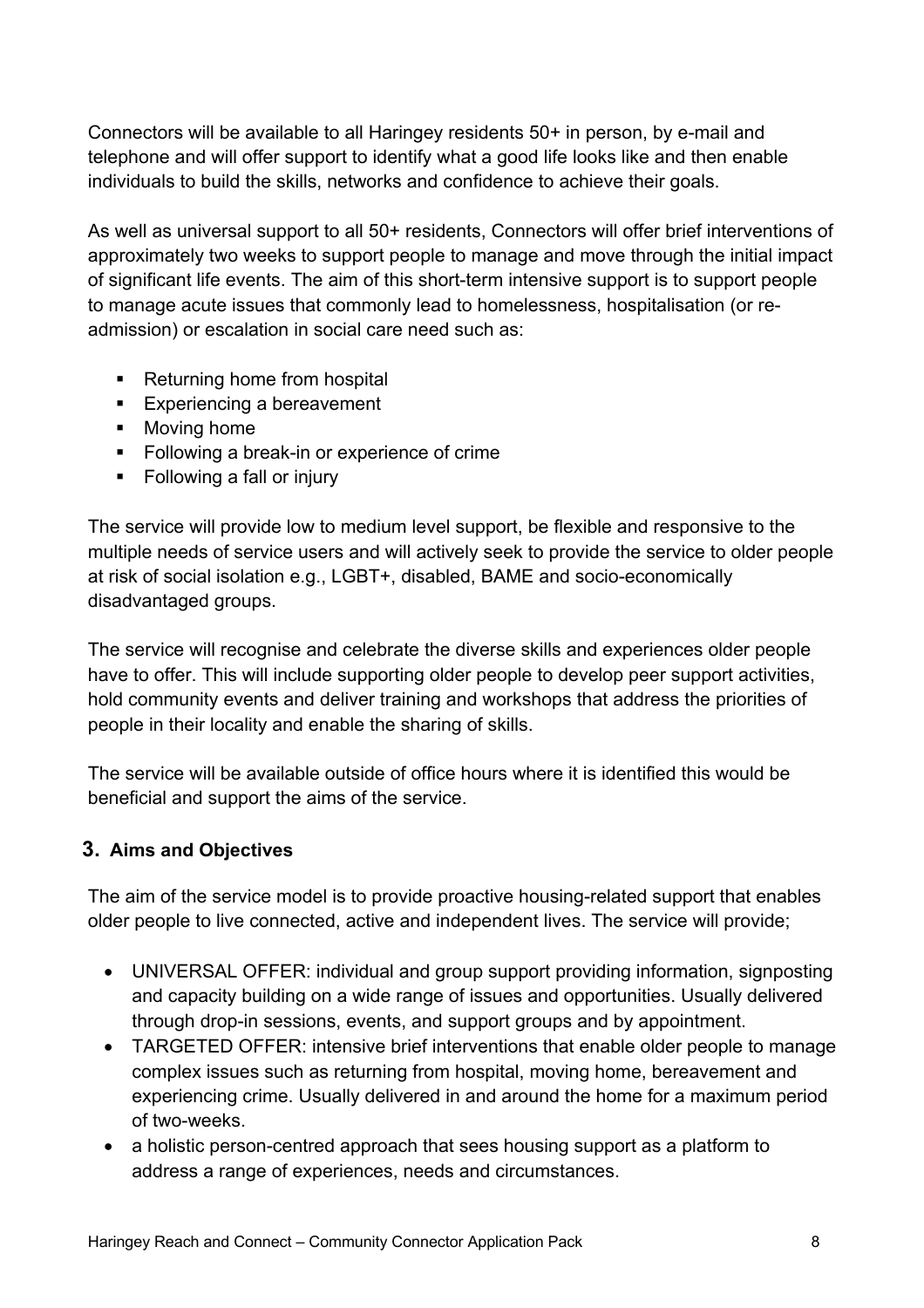Connectors will be available to all Haringey residents 50+ in person, by e-mail and telephone and will offer support to identify what a good life looks like and then enable individuals to build the skills, networks and confidence to achieve their goals.

As well as universal support to all 50+ residents, Connectors will offer brief interventions of approximately two weeks to support people to manage and move through the initial impact of significant life events. The aim of this short-term intensive support is to support people to manage acute issues that commonly lead to homelessness, hospitalisation (or readmission) or escalation in social care need such as:

- Returning home from hospital
- Experiencing a bereavement
- Moving home
- Following a break-in or experience of crime
- Following a fall or injury

The service will provide low to medium level support, be flexible and responsive to the multiple needs of service users and will actively seek to provide the service to older people at risk of social isolation e.g., LGBT+, disabled, BAME and socio-economically disadvantaged groups.

The service will recognise and celebrate the diverse skills and experiences older people have to offer. This will include supporting older people to develop peer support activities, hold community events and deliver training and workshops that address the priorities of people in their locality and enable the sharing of skills.

The service will be available outside of office hours where it is identified this would be beneficial and support the aims of the service.

# **3. Aims and Objectives**

The aim of the service model is to provide proactive housing-related support that enables older people to live connected, active and independent lives. The service will provide;

- UNIVERSAL OFFER: individual and group support providing information, signposting and capacity building on a wide range of issues and opportunities. Usually delivered through drop-in sessions, events, and support groups and by appointment.
- TARGETED OFFER: intensive brief interventions that enable older people to manage complex issues such as returning from hospital, moving home, bereavement and experiencing crime. Usually delivered in and around the home for a maximum period of two-weeks.
- a holistic person-centred approach that sees housing support as a platform to address a range of experiences, needs and circumstances.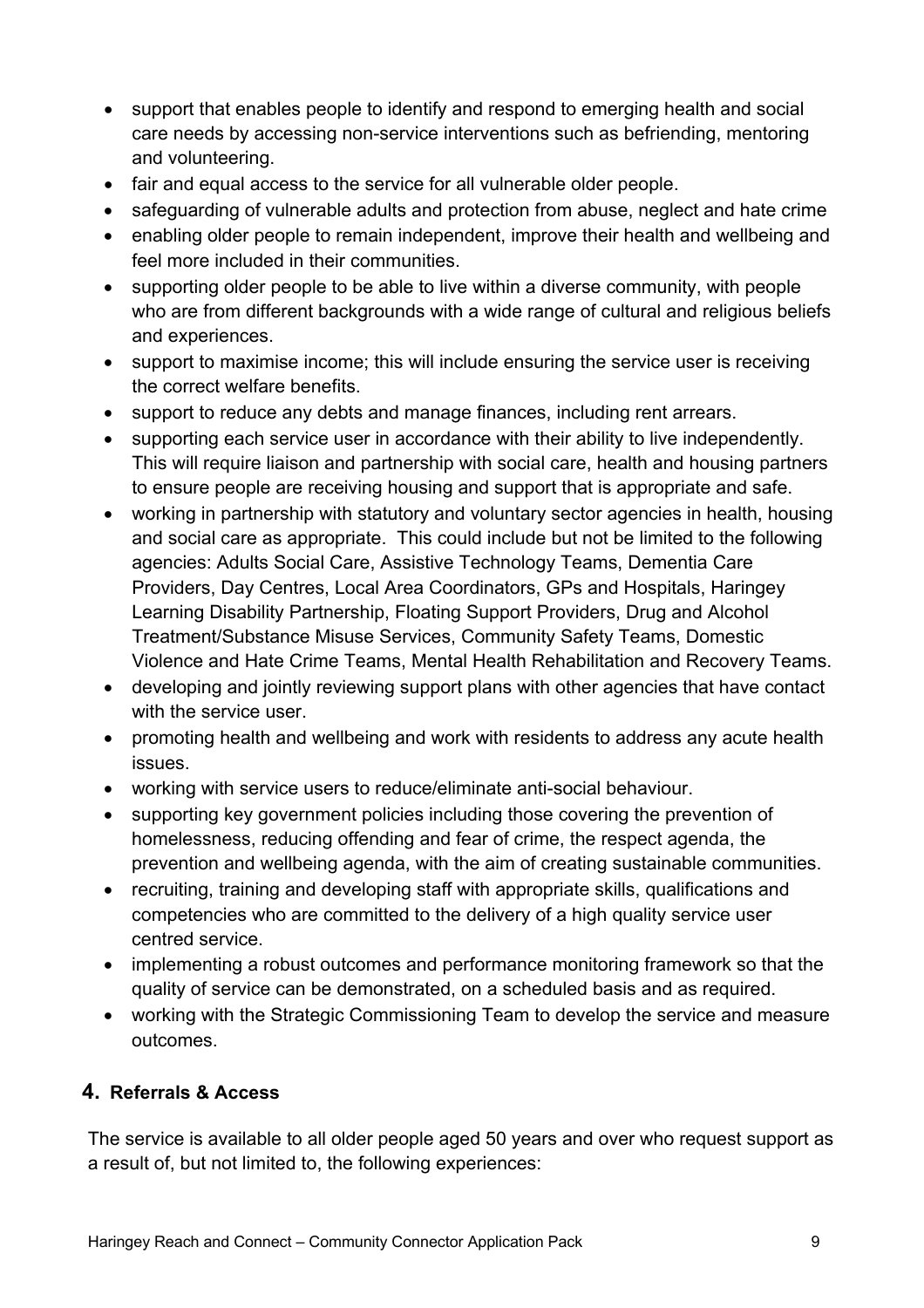- support that enables people to identify and respond to emerging health and social care needs by accessing non-service interventions such as befriending, mentoring and volunteering.
- fair and equal access to the service for all vulnerable older people.
- safeguarding of vulnerable adults and protection from abuse, neglect and hate crime
- enabling older people to remain independent, improve their health and wellbeing and feel more included in their communities.
- supporting older people to be able to live within a diverse community, with people who are from different backgrounds with a wide range of cultural and religious beliefs and experiences.
- support to maximise income; this will include ensuring the service user is receiving the correct welfare benefits.
- support to reduce any debts and manage finances, including rent arrears.
- supporting each service user in accordance with their ability to live independently. This will require liaison and partnership with social care, health and housing partners to ensure people are receiving housing and support that is appropriate and safe.
- working in partnership with statutory and voluntary sector agencies in health, housing and social care as appropriate. This could include but not be limited to the following agencies: Adults Social Care, Assistive Technology Teams, Dementia Care Providers, Day Centres, Local Area Coordinators, GPs and Hospitals, Haringey Learning Disability Partnership, Floating Support Providers, Drug and Alcohol Treatment/Substance Misuse Services, Community Safety Teams, Domestic Violence and Hate Crime Teams, Mental Health Rehabilitation and Recovery Teams.
- developing and jointly reviewing support plans with other agencies that have contact with the service user.
- promoting health and wellbeing and work with residents to address any acute health issues.
- working with service users to reduce/eliminate anti-social behaviour.
- supporting key government policies including those covering the prevention of homelessness, reducing offending and fear of crime, the respect agenda, the prevention and wellbeing agenda, with the aim of creating sustainable communities.
- recruiting, training and developing staff with appropriate skills, qualifications and competencies who are committed to the delivery of a high quality service user centred service.
- implementing a robust outcomes and performance monitoring framework so that the quality of service can be demonstrated, on a scheduled basis and as required.
- working with the Strategic Commissioning Team to develop the service and measure outcomes.

# **4. Referrals & Access**

The service is available to all older people aged 50 years and over who request support as a result of, but not limited to, the following experiences: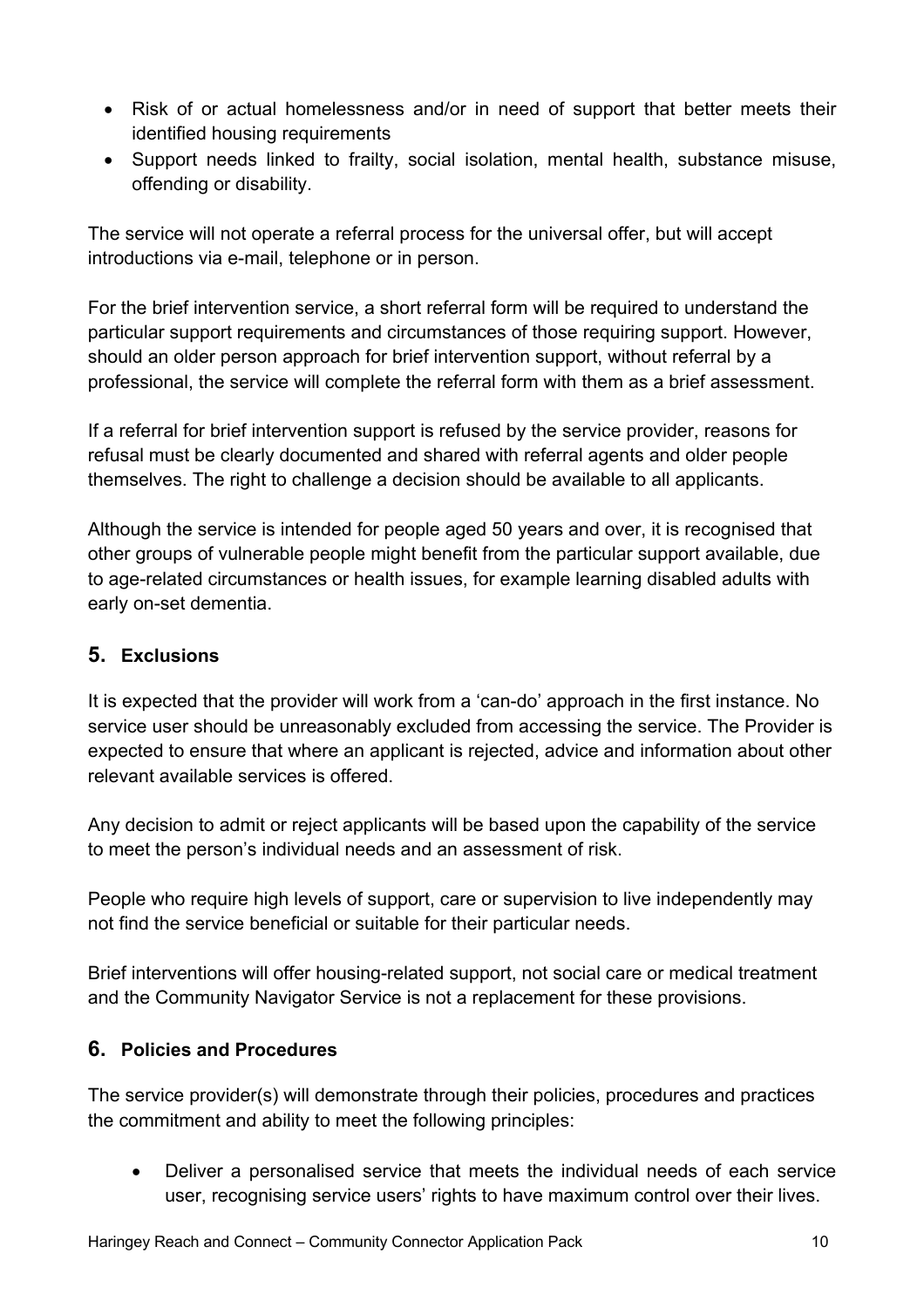- Risk of or actual homelessness and/or in need of support that better meets their identified housing requirements
- Support needs linked to frailty, social isolation, mental health, substance misuse, offending or disability.

The service will not operate a referral process for the universal offer, but will accept introductions via e-mail, telephone or in person.

For the brief intervention service, a short referral form will be required to understand the particular support requirements and circumstances of those requiring support. However, should an older person approach for brief intervention support, without referral by a professional, the service will complete the referral form with them as a brief assessment.

If a referral for brief intervention support is refused by the service provider, reasons for refusal must be clearly documented and shared with referral agents and older people themselves. The right to challenge a decision should be available to all applicants.

Although the service is intended for people aged 50 years and over, it is recognised that other groups of vulnerable people might benefit from the particular support available, due to age-related circumstances or health issues, for example learning disabled adults with early on-set dementia.

# **5. Exclusions**

It is expected that the provider will work from a 'can-do' approach in the first instance. No service user should be unreasonably excluded from accessing the service. The Provider is expected to ensure that where an applicant is rejected, advice and information about other relevant available services is offered.

Any decision to admit or reject applicants will be based upon the capability of the service to meet the person's individual needs and an assessment of risk.

People who require high levels of support, care or supervision to live independently may not find the service beneficial or suitable for their particular needs.

Brief interventions will offer housing-related support, not social care or medical treatment and the Community Navigator Service is not a replacement for these provisions.

# **6. Policies and Procedures**

The service provider(s) will demonstrate through their policies, procedures and practices the commitment and ability to meet the following principles:

• Deliver a personalised service that meets the individual needs of each service user, recognising service users' rights to have maximum control over their lives.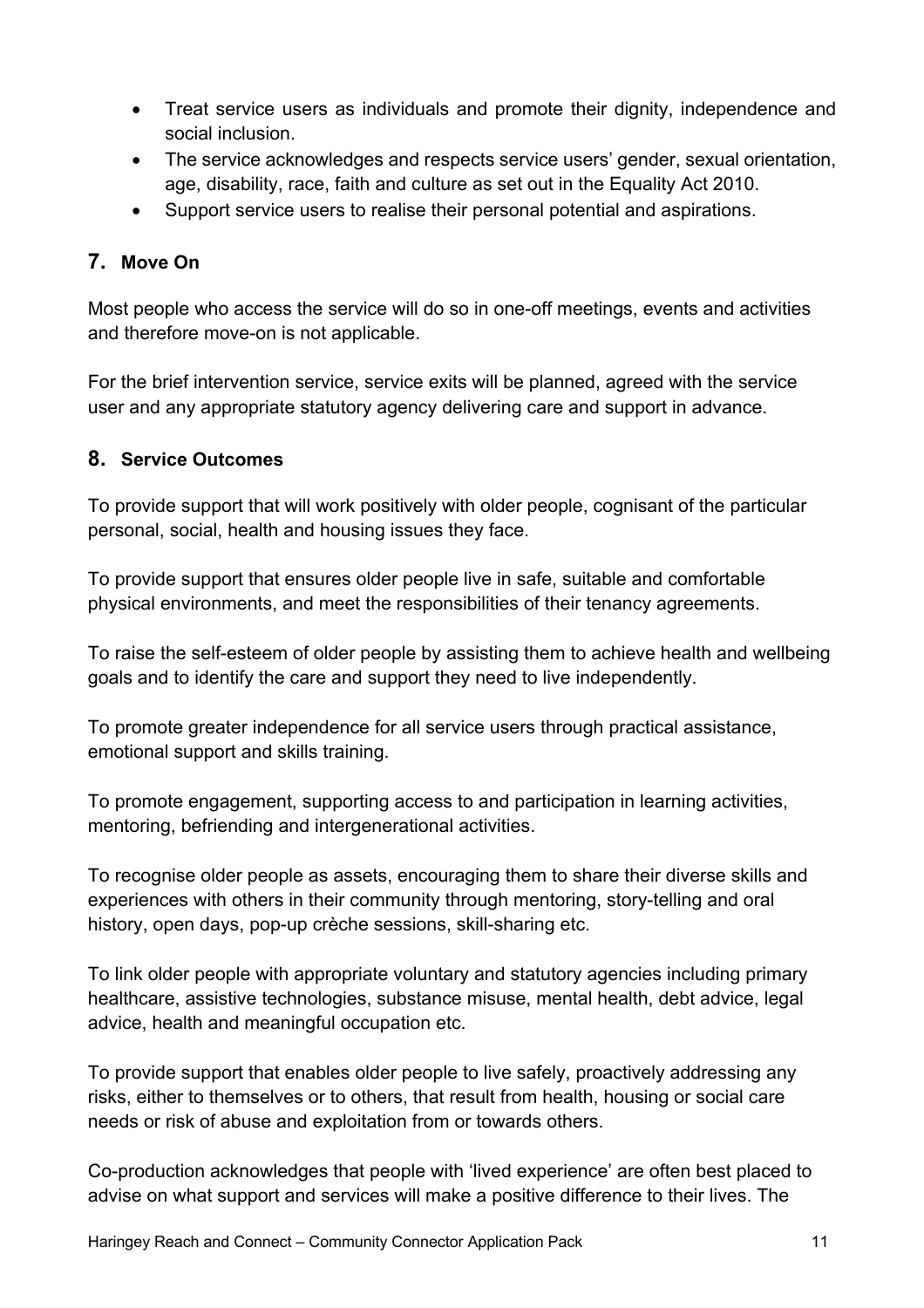- Treat service users as individuals and promote their dignity, independence and social inclusion.
- The service acknowledges and respects service users' gender, sexual orientation, age, disability, race, faith and culture as set out in the Equality Act 2010.
- Support service users to realise their personal potential and aspirations.

# **7. Move On**

Most people who access the service will do so in one-off meetings, events and activities and therefore move-on is not applicable.

For the brief intervention service, service exits will be planned, agreed with the service user and any appropriate statutory agency delivering care and support in advance.

#### **8. Service Outcomes**

To provide support that will work positively with older people, cognisant of the particular personal, social, health and housing issues they face.

To provide support that ensures older people live in safe, suitable and comfortable physical environments, and meet the responsibilities of their tenancy agreements.

To raise the self-esteem of older people by assisting them to achieve health and wellbeing goals and to identify the care and support they need to live independently.

To promote greater independence for all service users through practical assistance, emotional support and skills training.

To promote engagement, supporting access to and participation in learning activities, mentoring, befriending and intergenerational activities.

To recognise older people as assets, encouraging them to share their diverse skills and experiences with others in their community through mentoring, story-telling and oral history, open days, pop-up crèche sessions, skill-sharing etc.

To link older people with appropriate voluntary and statutory agencies including primary healthcare, assistive technologies, substance misuse, mental health, debt advice, legal advice, health and meaningful occupation etc.

To provide support that enables older people to live safely, proactively addressing any risks, either to themselves or to others, that result from health, housing or social care needs or risk of abuse and exploitation from or towards others.

Co-production acknowledges that people with 'lived experience' are often best placed to advise on what support and services will make a positive difference to their lives. The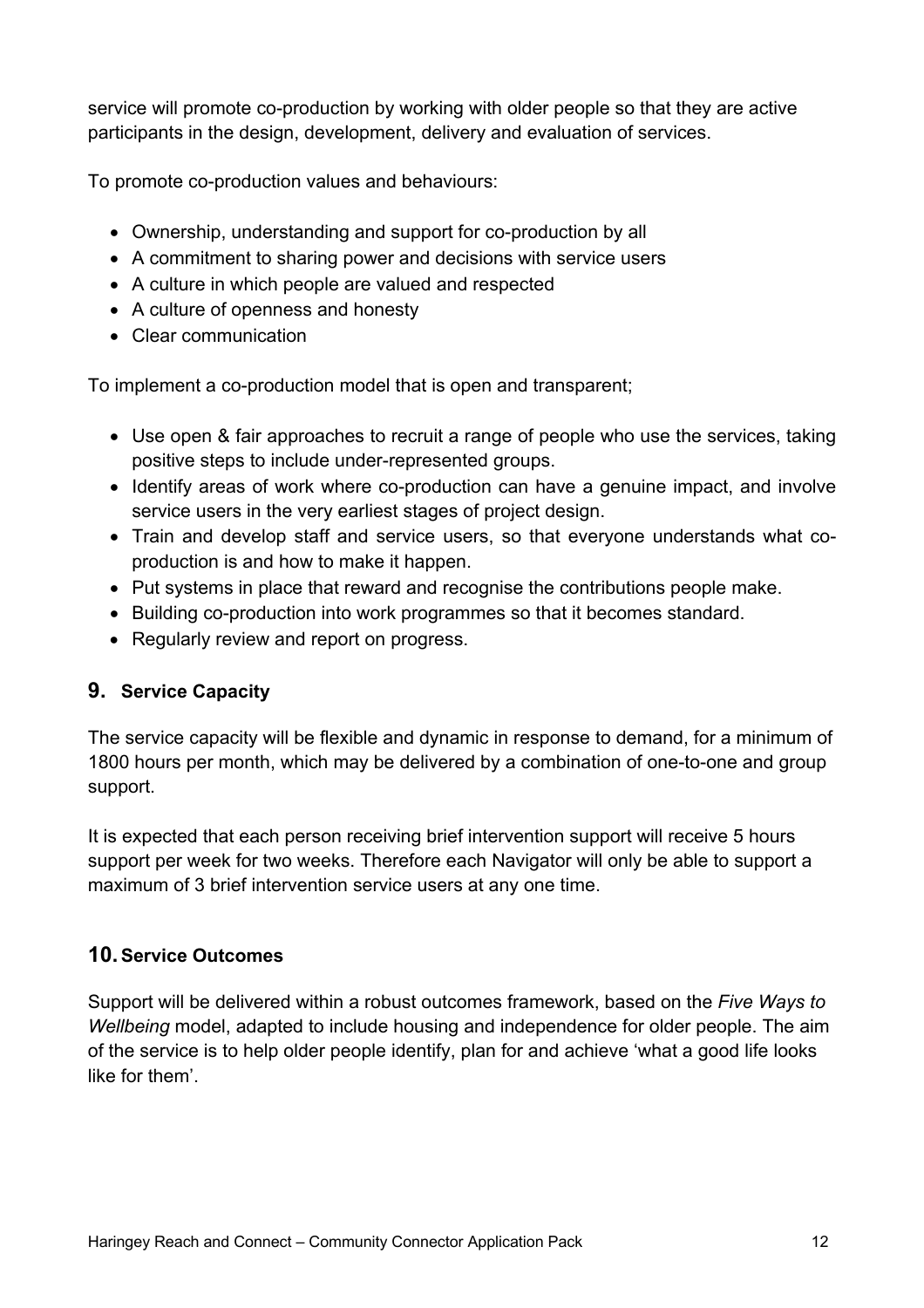service will promote co-production by working with older people so that they are active participants in the design, development, delivery and evaluation of services.

To promote co-production values and behaviours:

- Ownership, understanding and support for co-production by all
- A commitment to sharing power and decisions with service users
- A culture in which people are valued and respected
- A culture of openness and honesty
- Clear communication

To implement a co-production model that is open and transparent;

- Use open & fair approaches to recruit a range of people who use the services, taking positive steps to include under-represented groups.
- Identify areas of work where co-production can have a genuine impact, and involve service users in the very earliest stages of project design.
- Train and develop staff and service users, so that everyone understands what coproduction is and how to make it happen.
- Put systems in place that reward and recognise the contributions people make.
- Building co-production into work programmes so that it becomes standard.
- Regularly review and report on progress.

# **9. Service Capacity**

The service capacity will be flexible and dynamic in response to demand, for a minimum of 1800 hours per month, which may be delivered by a combination of one-to-one and group support.

It is expected that each person receiving brief intervention support will receive 5 hours support per week for two weeks. Therefore each Navigator will only be able to support a maximum of 3 brief intervention service users at any one time.

# **10.Service Outcomes**

Support will be delivered within a robust outcomes framework, based on the *Five Ways to Wellbeing* model, adapted to include housing and independence for older people. The aim of the service is to help older people identify, plan for and achieve 'what a good life looks like for them'.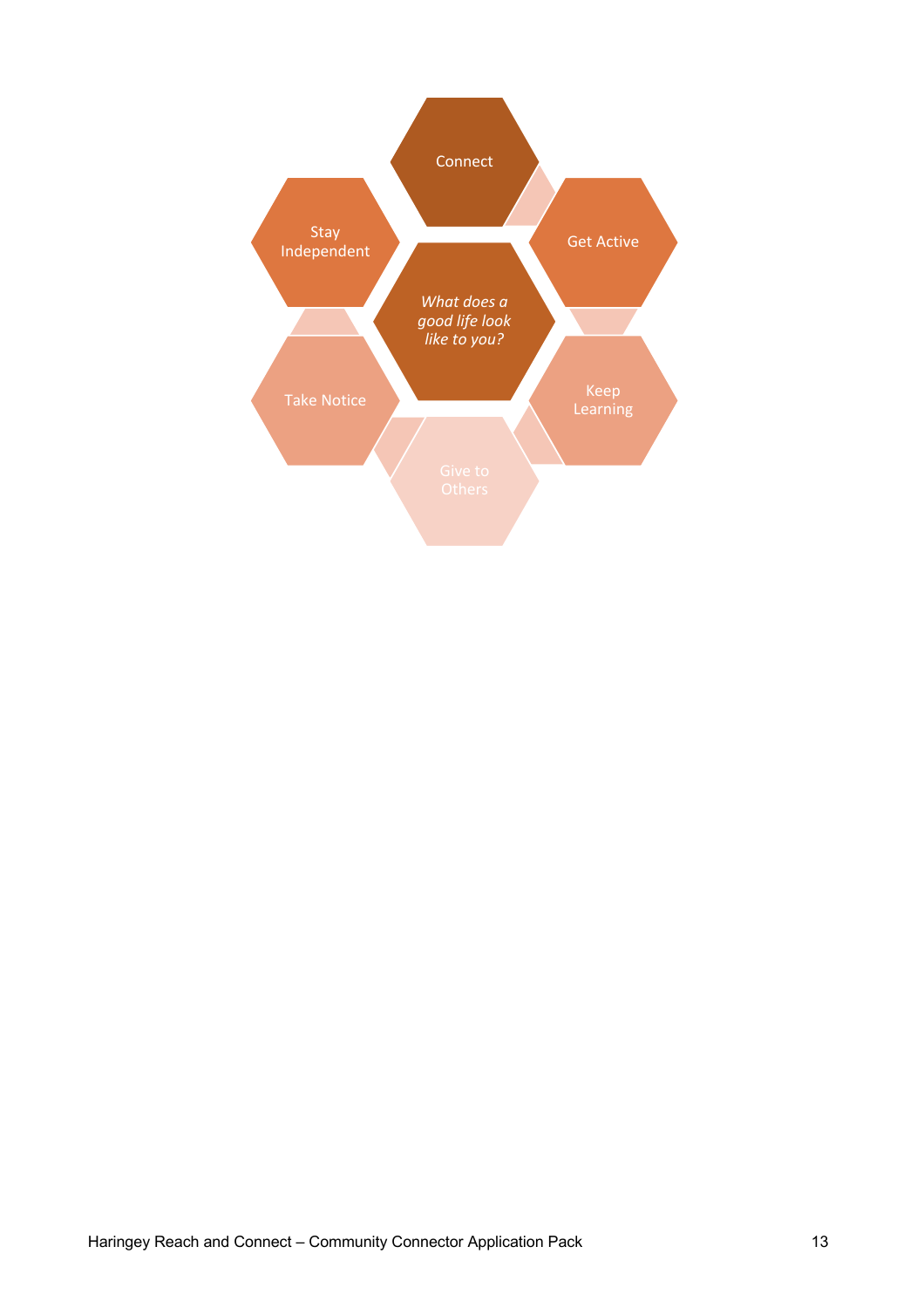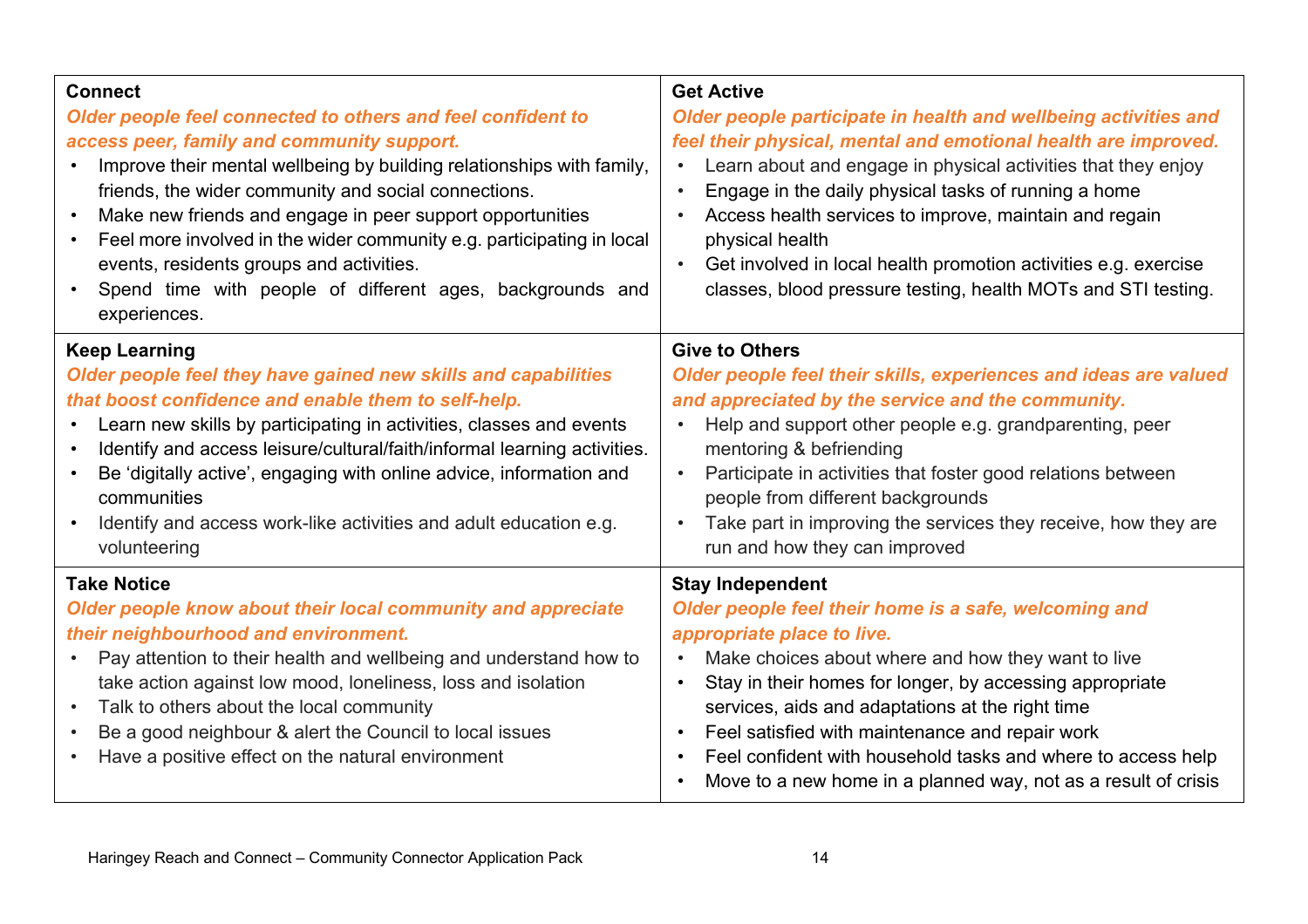| <b>Connect</b><br>Older people feel connected to others and feel confident to<br>access peer, family and community support.<br>Improve their mental wellbeing by building relationships with family,<br>friends, the wider community and social connections.<br>Make new friends and engage in peer support opportunities<br>$\bullet$<br>Feel more involved in the wider community e.g. participating in local<br>$\bullet$<br>events, residents groups and activities.<br>Spend time with people of different ages, backgrounds and<br>$\bullet$<br>experiences. | <b>Get Active</b><br>Older people participate in health and wellbeing activities and<br>feel their physical, mental and emotional health are improved.<br>Learn about and engage in physical activities that they enjoy<br>$\bullet$<br>Engage in the daily physical tasks of running a home<br>Access health services to improve, maintain and regain<br>$\bullet$<br>physical health<br>Get involved in local health promotion activities e.g. exercise<br>classes, blood pressure testing, health MOTs and STI testing.    |
|--------------------------------------------------------------------------------------------------------------------------------------------------------------------------------------------------------------------------------------------------------------------------------------------------------------------------------------------------------------------------------------------------------------------------------------------------------------------------------------------------------------------------------------------------------------------|-------------------------------------------------------------------------------------------------------------------------------------------------------------------------------------------------------------------------------------------------------------------------------------------------------------------------------------------------------------------------------------------------------------------------------------------------------------------------------------------------------------------------------|
| <b>Keep Learning</b><br>Older people feel they have gained new skills and capabilities<br>that boost confidence and enable them to self-help.<br>Learn new skills by participating in activities, classes and events<br>Identify and access leisure/cultural/faith/informal learning activities.<br>Be 'digitally active', engaging with online advice, information and<br>communities<br>Identify and access work-like activities and adult education e.g.<br>$\bullet$<br>volunteering                                                                           | <b>Give to Others</b><br>Older people feel their skills, experiences and ideas are valued<br>and appreciated by the service and the community.<br>Help and support other people e.g. grandparenting, peer<br>$\bullet$<br>mentoring & befriending<br>Participate in activities that foster good relations between<br>people from different backgrounds<br>Take part in improving the services they receive, how they are<br>run and how they can improved                                                                     |
| <b>Take Notice</b><br>Older people know about their local community and appreciate<br>their neighbourhood and environment.<br>Pay attention to their health and wellbeing and understand how to<br>$\bullet$<br>take action against low mood, loneliness, loss and isolation<br>Talk to others about the local community<br>$\bullet$<br>Be a good neighbour & alert the Council to local issues<br>$\bullet$<br>Have a positive effect on the natural environment                                                                                                 | <b>Stay Independent</b><br>Older people feel their home is a safe, welcoming and<br>appropriate place to live.<br>Make choices about where and how they want to live<br>$\bullet$<br>Stay in their homes for longer, by accessing appropriate<br>$\bullet$<br>services, aids and adaptations at the right time<br>Feel satisfied with maintenance and repair work<br>$\bullet$<br>Feel confident with household tasks and where to access help<br>Move to a new home in a planned way, not as a result of crisis<br>$\bullet$ |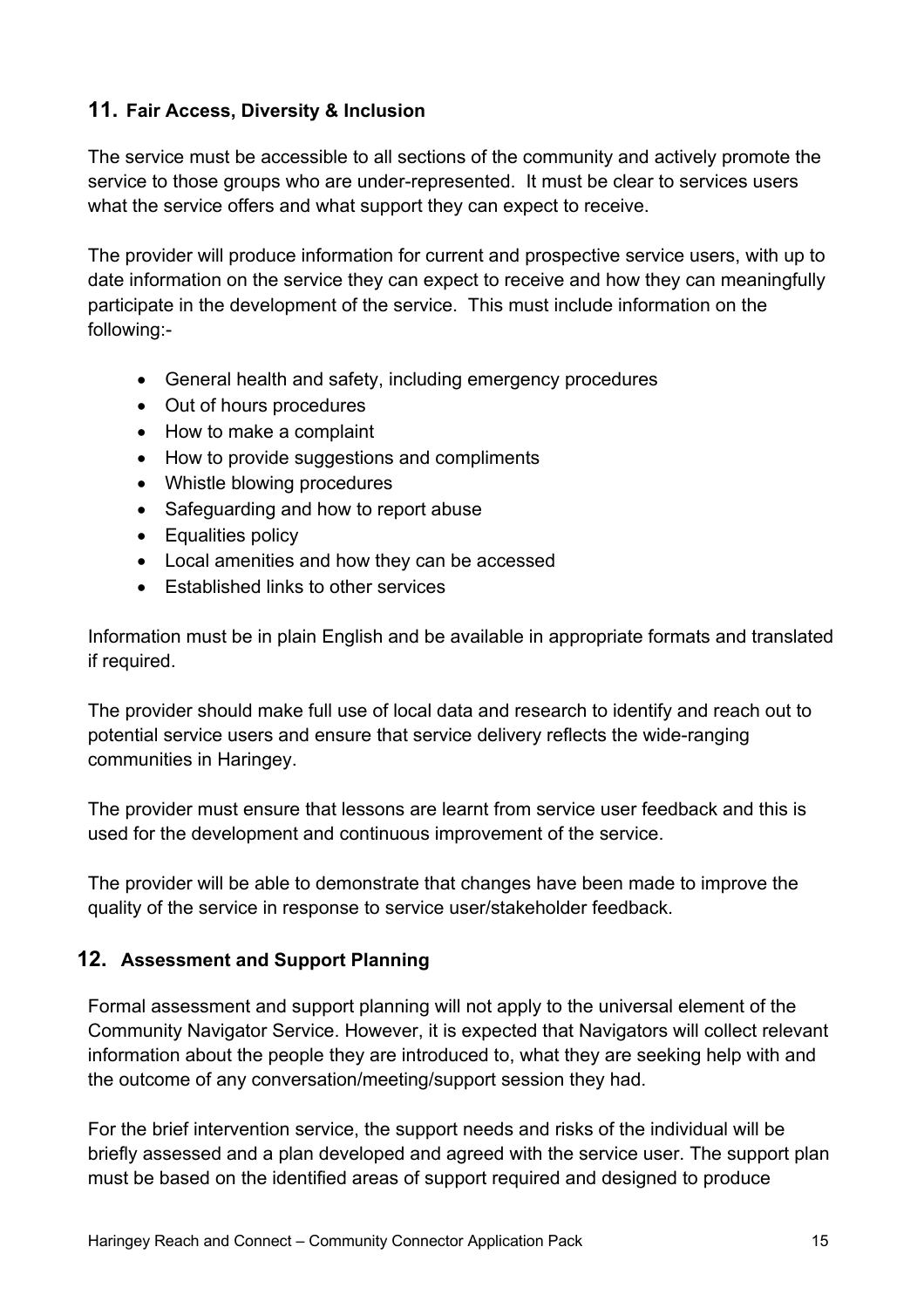# **11. Fair Access, Diversity & Inclusion**

The service must be accessible to all sections of the community and actively promote the service to those groups who are under-represented. It must be clear to services users what the service offers and what support they can expect to receive.

The provider will produce information for current and prospective service users, with up to date information on the service they can expect to receive and how they can meaningfully participate in the development of the service. This must include information on the following:-

- General health and safety, including emergency procedures
- Out of hours procedures
- How to make a complaint
- How to provide suggestions and compliments
- Whistle blowing procedures
- Safeguarding and how to report abuse
- Equalities policy
- Local amenities and how they can be accessed
- Established links to other services

Information must be in plain English and be available in appropriate formats and translated if required.

The provider should make full use of local data and research to identify and reach out to potential service users and ensure that service delivery reflects the wide-ranging communities in Haringey.

The provider must ensure that lessons are learnt from service user feedback and this is used for the development and continuous improvement of the service.

The provider will be able to demonstrate that changes have been made to improve the quality of the service in response to service user/stakeholder feedback.

# **12. Assessment and Support Planning**

Formal assessment and support planning will not apply to the universal element of the Community Navigator Service. However, it is expected that Navigators will collect relevant information about the people they are introduced to, what they are seeking help with and the outcome of any conversation/meeting/support session they had.

For the brief intervention service, the support needs and risks of the individual will be briefly assessed and a plan developed and agreed with the service user. The support plan must be based on the identified areas of support required and designed to produce